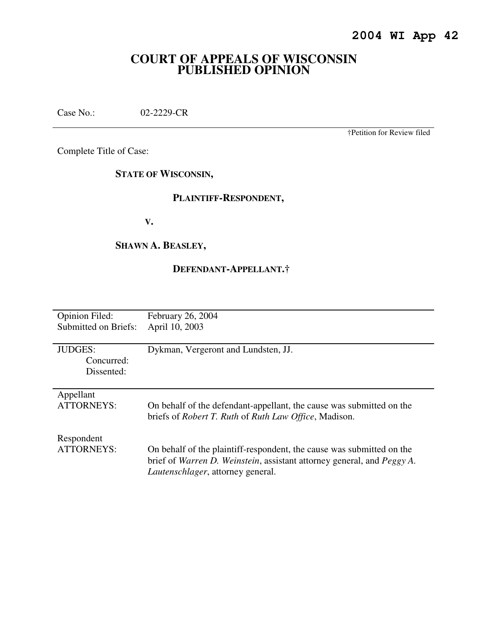# **COURT OF APPEALS OF WISCONSIN PUBLISHED OPINION**

Case No.: 02-2229-CR

†Petition for Review filed

Complete Title of Case:

**STATE OF WISCONSIN,** 

# **PLAINTIFF-RESPONDENT,**

 **V.** 

## **SHAWN A. BEASLEY,**

# **DEFENDANT-APPELLANT.†**

| <b>Opinion Filed:</b> | February 26, 2004                                                      |
|-----------------------|------------------------------------------------------------------------|
| Submitted on Briefs:  | April 10, 2003                                                         |
|                       |                                                                        |
| <b>JUDGES:</b>        | Dykman, Vergeront and Lundsten, JJ.                                    |
| Concurred:            |                                                                        |
| Dissented:            |                                                                        |
|                       |                                                                        |
| Appellant             |                                                                        |
| <b>ATTORNEYS:</b>     | On behalf of the defendant-appellant, the cause was submitted on the   |
|                       | briefs of <i>Robert T. Ruth</i> of <i>Ruth Law Office</i> , Madison.   |
|                       |                                                                        |
| Respondent            |                                                                        |
| <b>ATTORNEYS:</b>     | On behalf of the plaintiff-respondent, the cause was submitted on the  |
|                       | brief of Warren D. Weinstein, assistant attorney general, and Peggy A. |
|                       | <i>Lautenschlager</i> , attorney general.                              |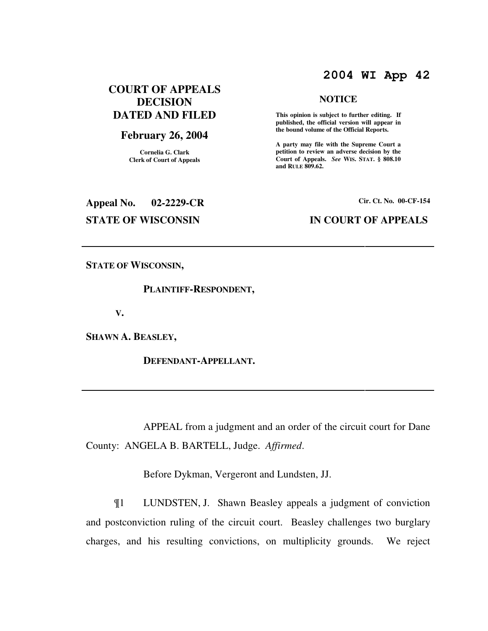# **2004 WI App 42**

**NOTICE** 

 **This opinion is subject to further editing. If published, the official version will appear in the bound volume of the Official Reports. A party may file with the Supreme Court a petition to review an adverse decision by the Court of Appeals.** *See* **WIS. STAT. § 808.10** 

**and RULE 809.62.** 

# **COURT OF APPEALS DECISION DATED AND FILED**

### **February 26, 2004**

**Cornelia G. Clark Clerk of Court of Appeals**

# **Appeal No. 02-2229-CR Cir. Ct. No. 00-CF-154**

### **STATE OF WISCONSIN IN COURT OF APPEALS**

**STATE OF WISCONSIN,** 

#### **PLAINTIFF-RESPONDENT,**

 **V.** 

**SHAWN A. BEASLEY,** 

 **DEFENDANT-APPELLANT.** 

 APPEAL from a judgment and an order of the circuit court for Dane County: ANGELA B. BARTELL, Judge. *Affirmed*.

Before Dykman, Vergeront and Lundsten, JJ.

¶1 LUNDSTEN, J. Shawn Beasley appeals a judgment of conviction and postconviction ruling of the circuit court. Beasley challenges two burglary charges, and his resulting convictions, on multiplicity grounds. We reject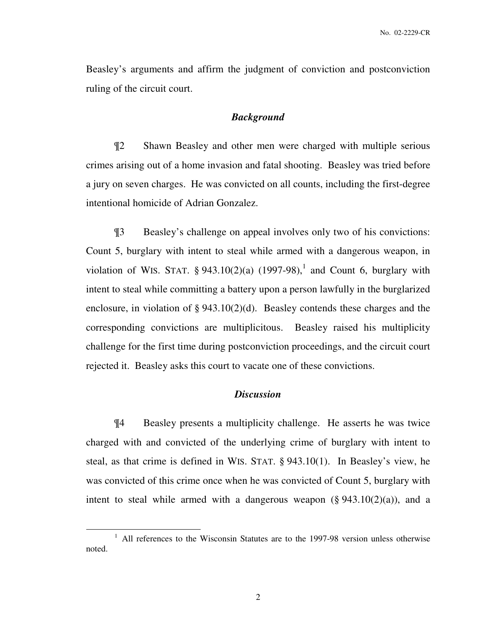Beasley's arguments and affirm the judgment of conviction and postconviction ruling of the circuit court.

#### *Background*

¶2 Shawn Beasley and other men were charged with multiple serious crimes arising out of a home invasion and fatal shooting. Beasley was tried before a jury on seven charges. He was convicted on all counts, including the first-degree intentional homicide of Adrian Gonzalez.

¶3 Beasley's challenge on appeal involves only two of his convictions: Count 5, burglary with intent to steal while armed with a dangerous weapon, in violation of WIS. STAT.  $\S 943.10(2)(a)$  (1997-98),<sup>1</sup> and Count 6, burglary with intent to steal while committing a battery upon a person lawfully in the burglarized enclosure, in violation of § 943.10(2)(d). Beasley contends these charges and the corresponding convictions are multiplicitous. Beasley raised his multiplicity challenge for the first time during postconviction proceedings, and the circuit court rejected it. Beasley asks this court to vacate one of these convictions.

# *Discussion*

¶4 Beasley presents a multiplicity challenge. He asserts he was twice charged with and convicted of the underlying crime of burglary with intent to steal, as that crime is defined in WIS. STAT. § 943.10(1). In Beasley's view, he was convicted of this crime once when he was convicted of Count 5, burglary with intent to steal while armed with a dangerous weapon  $(\S 943.10(2)(a))$ , and a

 $\overline{a}$ 

<sup>&</sup>lt;sup>1</sup> All references to the Wisconsin Statutes are to the 1997-98 version unless otherwise noted.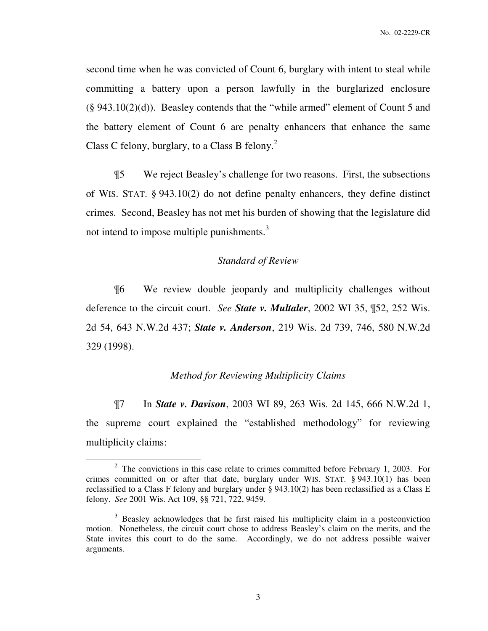second time when he was convicted of Count 6, burglary with intent to steal while committing a battery upon a person lawfully in the burglarized enclosure  $(\S 943.10(2)(d))$ . Beasley contends that the "while armed" element of Count 5 and the battery element of Count 6 are penalty enhancers that enhance the same Class C felony, burglary, to a Class B felony. $^{2}$ 

¶5 We reject Beasley's challenge for two reasons. First, the subsections of WIS. STAT. § 943.10(2) do not define penalty enhancers, they define distinct crimes. Second, Beasley has not met his burden of showing that the legislature did not intend to impose multiple punishments. $3$ 

#### *Standard of Review*

¶6 We review double jeopardy and multiplicity challenges without deference to the circuit court. *See State v. Multaler*, 2002 WI 35, ¶52, 252 Wis. 2d 54, 643 N.W.2d 437; *State v. Anderson*, 219 Wis. 2d 739, 746, 580 N.W.2d 329 (1998).

#### *Method for Reviewing Multiplicity Claims*

¶7 In *State v. Davison*, 2003 WI 89, 263 Wis. 2d 145, 666 N.W.2d 1, the supreme court explained the "established methodology" for reviewing multiplicity claims:

 $\overline{a}$ 

<sup>&</sup>lt;sup>2</sup> The convictions in this case relate to crimes committed before February 1, 2003. For crimes committed on or after that date, burglary under WIS. STAT. § 943.10(1) has been reclassified to a Class F felony and burglary under § 943.10(2) has been reclassified as a Class E felony. *See* 2001 Wis. Act 109, §§ 721, 722, 9459.

<sup>&</sup>lt;sup>3</sup> Beasley acknowledges that he first raised his multiplicity claim in a postconviction motion. Nonetheless, the circuit court chose to address Beasley's claim on the merits, and the State invites this court to do the same. Accordingly, we do not address possible waiver arguments.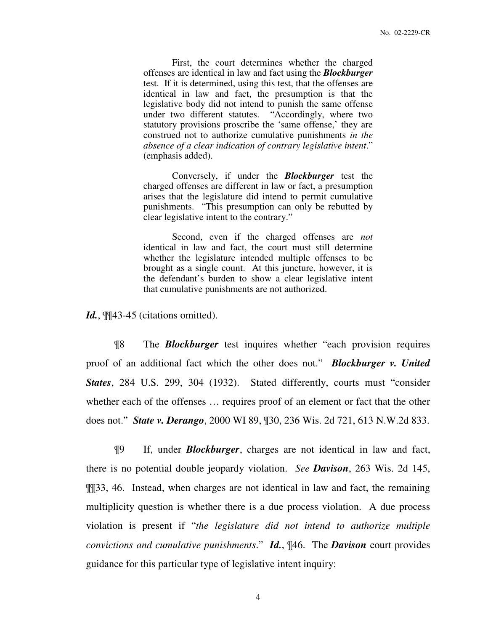First, the court determines whether the charged offenses are identical in law and fact using the *Blockburger* test. If it is determined, using this test, that the offenses are identical in law and fact, the presumption is that the legislative body did not intend to punish the same offense under two different statutes. "Accordingly, where two statutory provisions proscribe the 'same offense,' they are construed not to authorize cumulative punishments *in the absence of a clear indication of contrary legislative intent*." (emphasis added).

Conversely, if under the *Blockburger* test the charged offenses are different in law or fact, a presumption arises that the legislature did intend to permit cumulative punishments. "This presumption can only be rebutted by clear legislative intent to the contrary."

Second, even if the charged offenses are *not* identical in law and fact, the court must still determine whether the legislature intended multiple offenses to be brought as a single count. At this juncture, however, it is the defendant's burden to show a clear legislative intent that cumulative punishments are not authorized.

Id.,  $\P$ [43-45 (citations omitted).

¶8 The *Blockburger* test inquires whether "each provision requires proof of an additional fact which the other does not." *Blockburger v. United States*, 284 U.S. 299, 304 (1932). Stated differently, courts must "consider whether each of the offenses … requires proof of an element or fact that the other does not." *State v. Derango*, 2000 WI 89, ¶30, 236 Wis. 2d 721, 613 N.W.2d 833.

¶9 If, under *Blockburger*, charges are not identical in law and fact, there is no potential double jeopardy violation. *See Davison*, 263 Wis. 2d 145, ¶¶33, 46. Instead, when charges are not identical in law and fact, the remaining multiplicity question is whether there is a due process violation. A due process violation is present if "*the legislature did not intend to authorize multiple convictions and cumulative punishments*." *Id.*, ¶46. The *Davison* court provides guidance for this particular type of legislative intent inquiry: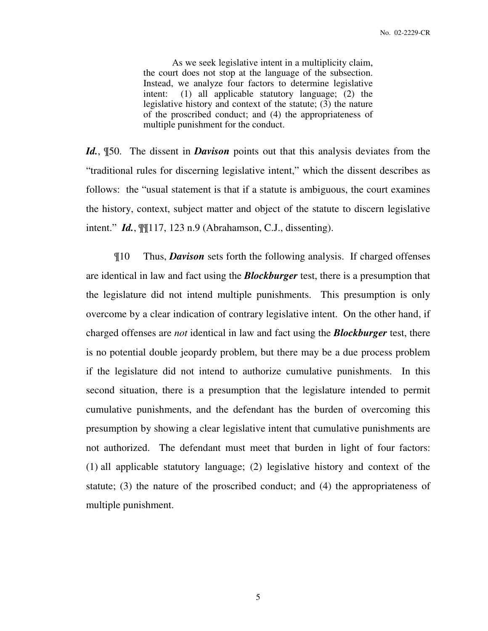As we seek legislative intent in a multiplicity claim, the court does not stop at the language of the subsection. Instead, we analyze four factors to determine legislative intent: (1) all applicable statutory language; (2) the legislative history and context of the statute; (3) the nature of the proscribed conduct; and (4) the appropriateness of multiple punishment for the conduct.

*Id.*, ¶50. The dissent in *Davison* points out that this analysis deviates from the "traditional rules for discerning legislative intent," which the dissent describes as follows: the "usual statement is that if a statute is ambiguous, the court examines the history, context, subject matter and object of the statute to discern legislative intent." *Id.*, ¶¶117, 123 n.9 (Abrahamson, C.J., dissenting).

¶10 Thus, *Davison* sets forth the following analysis. If charged offenses are identical in law and fact using the *Blockburger* test, there is a presumption that the legislature did not intend multiple punishments. This presumption is only overcome by a clear indication of contrary legislative intent. On the other hand, if charged offenses are *not* identical in law and fact using the *Blockburger* test, there is no potential double jeopardy problem, but there may be a due process problem if the legislature did not intend to authorize cumulative punishments. In this second situation, there is a presumption that the legislature intended to permit cumulative punishments, and the defendant has the burden of overcoming this presumption by showing a clear legislative intent that cumulative punishments are not authorized. The defendant must meet that burden in light of four factors: (1) all applicable statutory language; (2) legislative history and context of the statute; (3) the nature of the proscribed conduct; and (4) the appropriateness of multiple punishment.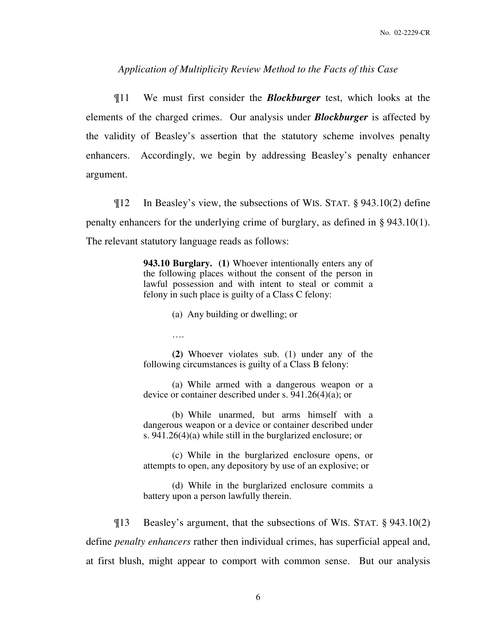#### *Application of Multiplicity Review Method to the Facts of this Case*

¶11 We must first consider the *Blockburger* test, which looks at the elements of the charged crimes. Our analysis under *Blockburger* is affected by the validity of Beasley's assertion that the statutory scheme involves penalty enhancers. Accordingly, we begin by addressing Beasley's penalty enhancer argument.

¶12 In Beasley's view, the subsections of WIS. STAT. § 943.10(2) define penalty enhancers for the underlying crime of burglary, as defined in § 943.10(1). The relevant statutory language reads as follows:

> **943.10 Burglary. (1)** Whoever intentionally enters any of the following places without the consent of the person in lawful possession and with intent to steal or commit a felony in such place is guilty of a Class C felony:

> > (a) Any building or dwelling; or

….

**(2)** Whoever violates sub. (1) under any of the following circumstances is guilty of a Class B felony:

(a) While armed with a dangerous weapon or a device or container described under s. 941.26(4)(a); or

(b) While unarmed, but arms himself with a dangerous weapon or a device or container described under s. 941.26(4)(a) while still in the burglarized enclosure; or

(c) While in the burglarized enclosure opens, or attempts to open, any depository by use of an explosive; or

(d) While in the burglarized enclosure commits a battery upon a person lawfully therein.

¶13 Beasley's argument, that the subsections of WIS. STAT. § 943.10(2) define *penalty enhancers* rather then individual crimes, has superficial appeal and, at first blush, might appear to comport with common sense. But our analysis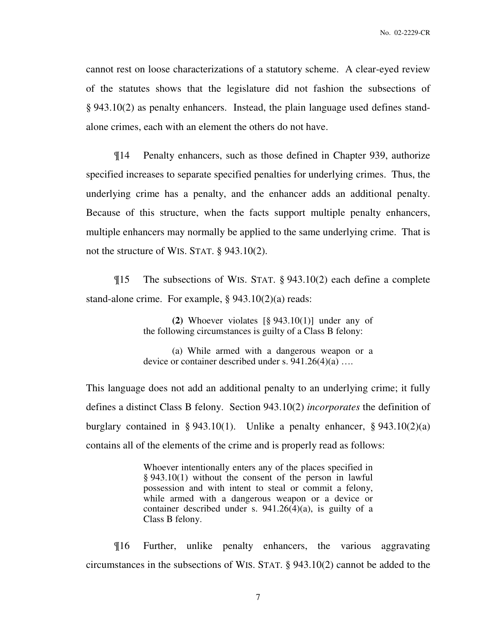cannot rest on loose characterizations of a statutory scheme. A clear-eyed review of the statutes shows that the legislature did not fashion the subsections of § 943.10(2) as penalty enhancers. Instead, the plain language used defines standalone crimes, each with an element the others do not have.

¶14 Penalty enhancers, such as those defined in Chapter 939, authorize specified increases to separate specified penalties for underlying crimes. Thus, the underlying crime has a penalty, and the enhancer adds an additional penalty. Because of this structure, when the facts support multiple penalty enhancers, multiple enhancers may normally be applied to the same underlying crime. That is not the structure of WIS. STAT. § 943.10(2).

¶15 The subsections of WIS. STAT. § 943.10(2) each define a complete stand-alone crime. For example,  $\S 943.10(2)(a)$  reads:

> **(2)** Whoever violates [§ 943.10(1)] under any of the following circumstances is guilty of a Class B felony:

> (a) While armed with a dangerous weapon or a device or container described under s. 941.26(4)(a) ….

This language does not add an additional penalty to an underlying crime; it fully defines a distinct Class B felony. Section 943.10(2) *incorporates* the definition of burglary contained in § 943.10(1). Unlike a penalty enhancer, § 943.10(2)(a) contains all of the elements of the crime and is properly read as follows:

> Whoever intentionally enters any of the places specified in § 943.10(1) without the consent of the person in lawful possession and with intent to steal or commit a felony, while armed with a dangerous weapon or a device or container described under s. 941.26(4)(a), is guilty of a Class B felony.

¶16 Further, unlike penalty enhancers, the various aggravating circumstances in the subsections of WIS. STAT. § 943.10(2) cannot be added to the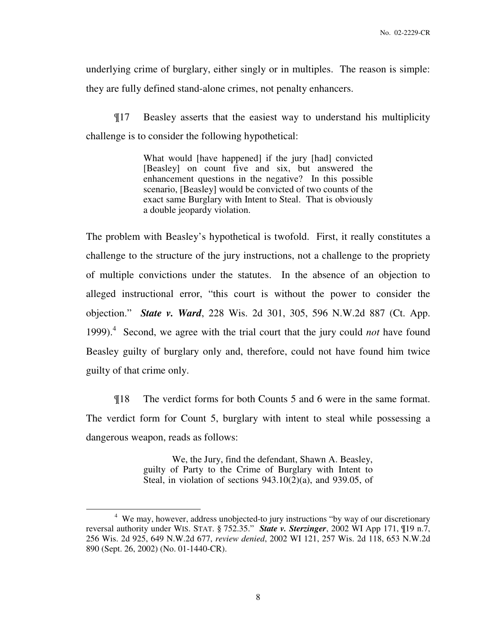underlying crime of burglary, either singly or in multiples. The reason is simple: they are fully defined stand-alone crimes, not penalty enhancers.

¶17 Beasley asserts that the easiest way to understand his multiplicity challenge is to consider the following hypothetical:

> What would [have happened] if the jury [had] convicted [Beasley] on count five and six, but answered the enhancement questions in the negative? In this possible scenario, [Beasley] would be convicted of two counts of the exact same Burglary with Intent to Steal. That is obviously a double jeopardy violation.

The problem with Beasley's hypothetical is twofold. First, it really constitutes a challenge to the structure of the jury instructions, not a challenge to the propriety of multiple convictions under the statutes. In the absence of an objection to alleged instructional error, "this court is without the power to consider the objection." *State v. Ward*, 228 Wis. 2d 301, 305, 596 N.W.2d 887 (Ct. App. 1999).<sup>4</sup> Second, we agree with the trial court that the jury could *not* have found Beasley guilty of burglary only and, therefore, could not have found him twice guilty of that crime only.

¶18 The verdict forms for both Counts 5 and 6 were in the same format. The verdict form for Count 5, burglary with intent to steal while possessing a dangerous weapon, reads as follows:

> We, the Jury, find the defendant, Shawn A. Beasley, guilty of Party to the Crime of Burglary with Intent to Steal, in violation of sections  $943.10(2)(a)$ , and  $939.05$ , of

 $\overline{a}$ 

<sup>&</sup>lt;sup>4</sup> We may, however, address unobjected-to jury instructions "by way of our discretionary reversal authority under WIS. STAT. § 752.35." *State v. Sterzinger*, 2002 WI App 171, ¶19 n.7, 256 Wis. 2d 925, 649 N.W.2d 677, *review denied*, 2002 WI 121, 257 Wis. 2d 118, 653 N.W.2d 890 (Sept. 26, 2002) (No. 01-1440-CR).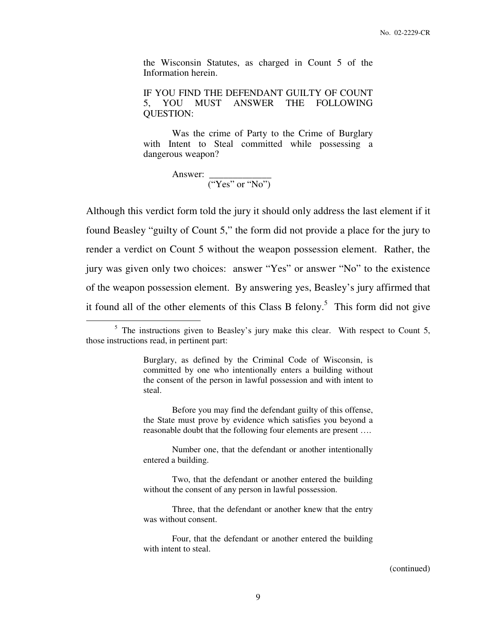the Wisconsin Statutes, as charged in Count 5 of the Information herein.

IF YOU FIND THE DEFENDANT GUILTY OF COUNT 5, YOU MUST ANSWER THE FOLLOWING QUESTION:

 Was the crime of Party to the Crime of Burglary with Intent to Steal committed while possessing a dangerous weapon?

 Answer: \_\_\_\_\_\_\_\_\_\_\_\_\_  $("Yes" or "No")$ 

 $\overline{a}$ 

Although this verdict form told the jury it should only address the last element if it found Beasley "guilty of Count 5," the form did not provide a place for the jury to render a verdict on Count 5 without the weapon possession element. Rather, the jury was given only two choices: answer "Yes" or answer "No" to the existence of the weapon possession element. By answering yes, Beasley's jury affirmed that it found all of the other elements of this Class B felony.<sup>5</sup> This form did not give

 Before you may find the defendant guilty of this offense, the State must prove by evidence which satisfies you beyond a reasonable doubt that the following four elements are present ….

 Number one, that the defendant or another intentionally entered a building.

 Two, that the defendant or another entered the building without the consent of any person in lawful possession.

 Three, that the defendant or another knew that the entry was without consent.

#### (continued)

 $<sup>5</sup>$  The instructions given to Beasley's jury make this clear. With respect to Count 5,</sup> those instructions read, in pertinent part:

Burglary, as defined by the Criminal Code of Wisconsin, is committed by one who intentionally enters a building without the consent of the person in lawful possession and with intent to steal.

Four, that the defendant or another entered the building with intent to steal.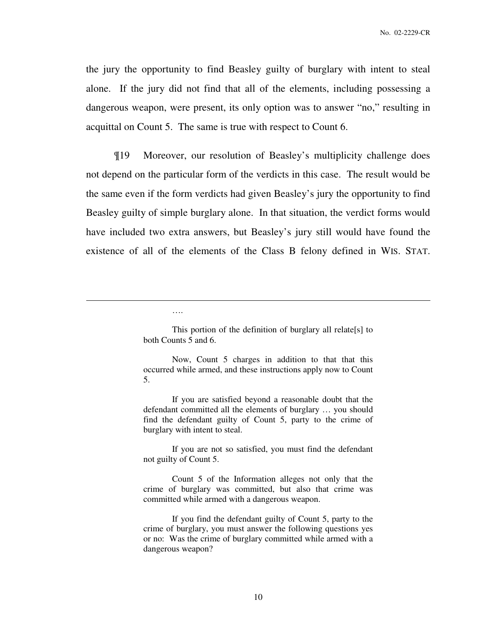the jury the opportunity to find Beasley guilty of burglary with intent to steal alone. If the jury did not find that all of the elements, including possessing a dangerous weapon, were present, its only option was to answer "no," resulting in acquittal on Count 5. The same is true with respect to Count 6.

¶19 Moreover, our resolution of Beasley's multiplicity challenge does not depend on the particular form of the verdicts in this case. The result would be the same even if the form verdicts had given Beasley's jury the opportunity to find Beasley guilty of simple burglary alone. In that situation, the verdict forms would have included two extra answers, but Beasley's jury still would have found the existence of all of the elements of the Class B felony defined in WIS. STAT.

….

 $\overline{a}$ 

 This portion of the definition of burglary all relate[s] to both Counts 5 and 6.

 If you are satisfied beyond a reasonable doubt that the defendant committed all the elements of burglary … you should find the defendant guilty of Count 5, party to the crime of burglary with intent to steal.

 If you are not so satisfied, you must find the defendant not guilty of Count 5.

 Count 5 of the Information alleges not only that the crime of burglary was committed, but also that crime was committed while armed with a dangerous weapon.

 If you find the defendant guilty of Count 5, party to the crime of burglary, you must answer the following questions yes or no: Was the crime of burglary committed while armed with a dangerous weapon?

Now, Count 5 charges in addition to that that this occurred while armed, and these instructions apply now to Count 5.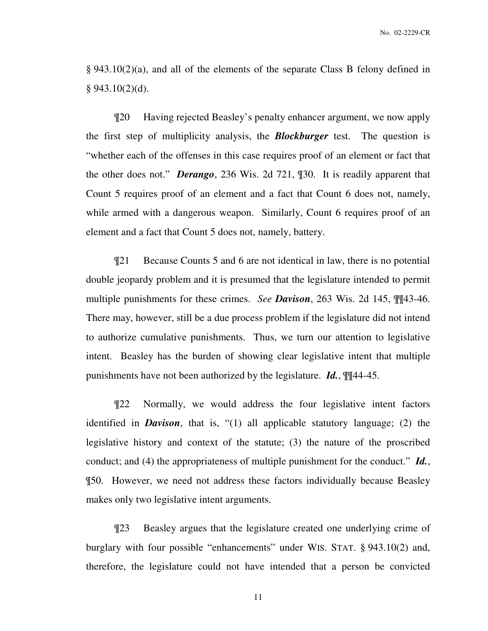§ 943.10(2)(a), and all of the elements of the separate Class B felony defined in  $§$  943.10(2)(d).

¶20 Having rejected Beasley's penalty enhancer argument, we now apply the first step of multiplicity analysis, the *Blockburger* test. The question is "whether each of the offenses in this case requires proof of an element or fact that the other does not." *Derango*, 236 Wis. 2d 721, ¶30. It is readily apparent that Count 5 requires proof of an element and a fact that Count 6 does not, namely, while armed with a dangerous weapon. Similarly, Count 6 requires proof of an element and a fact that Count 5 does not, namely, battery.

¶21 Because Counts 5 and 6 are not identical in law, there is no potential double jeopardy problem and it is presumed that the legislature intended to permit multiple punishments for these crimes. *See Davison*, 263 Wis. 2d 145, ¶¶43-46. There may, however, still be a due process problem if the legislature did not intend to authorize cumulative punishments. Thus, we turn our attention to legislative intent. Beasley has the burden of showing clear legislative intent that multiple punishments have not been authorized by the legislature. *Id.*, ¶¶44-45.

¶22 Normally, we would address the four legislative intent factors identified in *Davison*, that is, "(1) all applicable statutory language; (2) the legislative history and context of the statute; (3) the nature of the proscribed conduct; and (4) the appropriateness of multiple punishment for the conduct." *Id.*, ¶50. However, we need not address these factors individually because Beasley makes only two legislative intent arguments.

¶23 Beasley argues that the legislature created one underlying crime of burglary with four possible "enhancements" under WIS. STAT. § 943.10(2) and, therefore, the legislature could not have intended that a person be convicted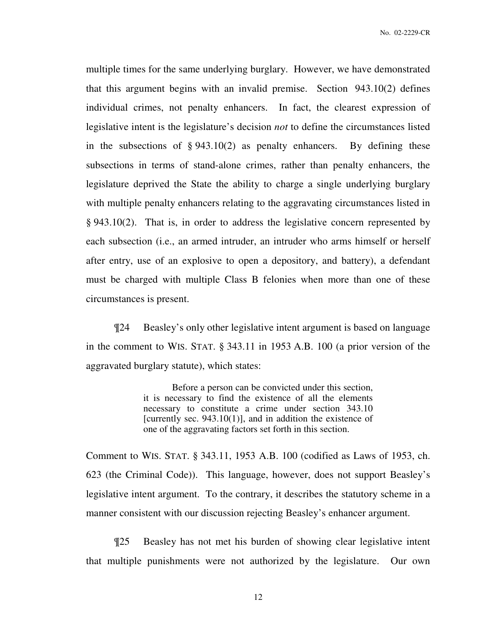multiple times for the same underlying burglary. However, we have demonstrated that this argument begins with an invalid premise. Section 943.10(2) defines individual crimes, not penalty enhancers. In fact, the clearest expression of legislative intent is the legislature's decision *not* to define the circumstances listed in the subsections of  $\S 943.10(2)$  as penalty enhancers. By defining these subsections in terms of stand-alone crimes, rather than penalty enhancers, the legislature deprived the State the ability to charge a single underlying burglary with multiple penalty enhancers relating to the aggravating circumstances listed in § 943.10(2). That is, in order to address the legislative concern represented by each subsection (i.e., an armed intruder, an intruder who arms himself or herself after entry, use of an explosive to open a depository, and battery), a defendant must be charged with multiple Class B felonies when more than one of these circumstances is present.

¶24 Beasley's only other legislative intent argument is based on language in the comment to WIS. STAT. § 343.11 in 1953 A.B. 100 (a prior version of the aggravated burglary statute), which states:

> Before a person can be convicted under this section, it is necessary to find the existence of all the elements necessary to constitute a crime under section 343.10 [currently sec. 943.10(1)], and in addition the existence of one of the aggravating factors set forth in this section.

Comment to WIS. STAT. § 343.11, 1953 A.B. 100 (codified as Laws of 1953, ch. 623 (the Criminal Code)). This language, however, does not support Beasley's legislative intent argument. To the contrary, it describes the statutory scheme in a manner consistent with our discussion rejecting Beasley's enhancer argument.

¶25 Beasley has not met his burden of showing clear legislative intent that multiple punishments were not authorized by the legislature. Our own